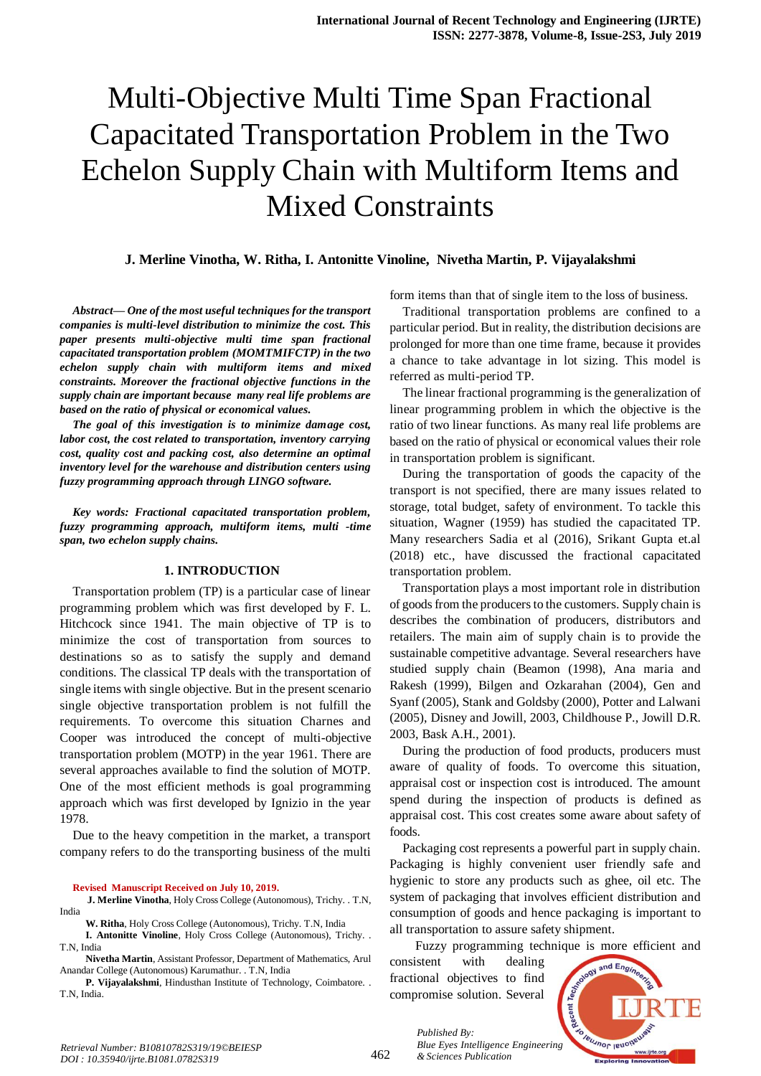# Multi-Objective Multi Time Span Fractional Capacitated Transportation Problem in the Two Echelon Supply Chain with Multiform Items and Mixed Constraints

# **J. Merline Vinotha, W. Ritha, I. Antonitte Vinoline, Nivetha Martin, P. Vijayalakshmi**

*Abstract***—** *One of the most useful techniques for the transport companies is multi-level distribution to minimize the cost. This paper presents multi-objective multi time span fractional capacitated transportation problem (MOMTMIFCTP) in the two echelon supply chain with multiform items and mixed constraints. Moreover the fractional objective functions in the supply chain are important because many real life problems are based on the ratio of physical or economical values.*

*The goal of this investigation is to minimize damage cost, labor cost, the cost related to transportation, inventory carrying cost, quality cost and packing cost, also determine an optimal inventory level for the warehouse and distribution centers using fuzzy programming approach through LINGO software.*

*Key words: Fractional capacitated transportation problem, fuzzy programming approach, multiform items, multi -time span, two echelon supply chains.*

# **1. INTRODUCTION**

Transportation problem (TP) is a particular case of linear programming problem which was first developed by F. L. Hitchcock since 1941. The main objective of TP is to minimize the cost of transportation from sources to destinations so as to satisfy the supply and demand conditions. The classical TP deals with the transportation of single items with single objective. But in the present scenario single objective transportation problem is not fulfill the requirements. To overcome this situation Charnes and Cooper was introduced the concept of multi-objective transportation problem (MOTP) in the year 1961. There are several approaches available to find the solution of MOTP. One of the most efficient methods is goal programming approach which was first developed by Ignizio in the year 1978.

Due to the heavy competition in the market, a transport company refers to do the transporting business of the multi

#### **Revised Manuscript Received on July 10, 2019.**

 **J. Merline Vinotha**, Holy Cross College (Autonomous), Trichy. . T.N, India

**W. Ritha**, Holy Cross College (Autonomous), Trichy. T.N, India

**I. Antonitte Vinoline**, Holy Cross College (Autonomous), Trichy. . T.N, India

**Nivetha Martin**, Assistant Professor, Department of Mathematics, Arul Anandar College (Autonomous) Karumathur. . T.N, India

**P. Vijayalakshmi**, Hindusthan Institute of Technology, Coimbatore. . T.N, India.

form items than that of single item to the loss of business.

Traditional transportation problems are confined to a particular period. But in reality, the distribution decisions are prolonged for more than one time frame, because it provides a chance to take advantage in lot sizing. This model is referred as multi-period TP.

The linear fractional programming is the generalization of linear programming problem in which the objective is the ratio of two linear functions. As many real life problems are based on the ratio of physical or economical values their role in transportation problem is significant.

During the transportation of goods the capacity of the transport is not specified, there are many issues related to storage, total budget, safety of environment. To tackle this situation, Wagner (1959) has studied the capacitated TP. Many researchers Sadia et al (2016), Srikant Gupta et.al (2018) etc., have discussed the fractional capacitated transportation problem.

Transportation plays a most important role in distribution of goods from the producers to the customers. Supply chain is describes the combination of producers, distributors and retailers. The main aim of supply chain is to provide the sustainable competitive advantage. Several researchers have studied supply chain (Beamon (1998), Ana maria and Rakesh (1999), Bilgen and Ozkarahan (2004), Gen and Syanf (2005), Stank and Goldsby (2000), Potter and Lalwani (2005), Disney and Jowill, 2003, Childhouse P., Jowill D.R. 2003, Bask A.H., 2001).

During the production of food products, producers must aware of quality of foods. To overcome this situation, appraisal cost or inspection cost is introduced. The amount spend during the inspection of products is defined as appraisal cost. This cost creates some aware about safety of foods.

Packaging cost represents a powerful part in supply chain. Packaging is highly convenient user friendly safe and hygienic to store any products such as ghee, oil etc. The system of packaging that involves efficient distribution and consumption of goods and hence packaging is important to all transportation to assure safety shipment.

Fuzzy programming technique is more efficient and consistent with dealing fractional objectives to find compromise solution. Several



*Retrieval Number: B10810782S319/19©BEIESP DOI : 10.35940/ijrte.B1081.0782S319*

*Published By:*

*& Sciences Publication*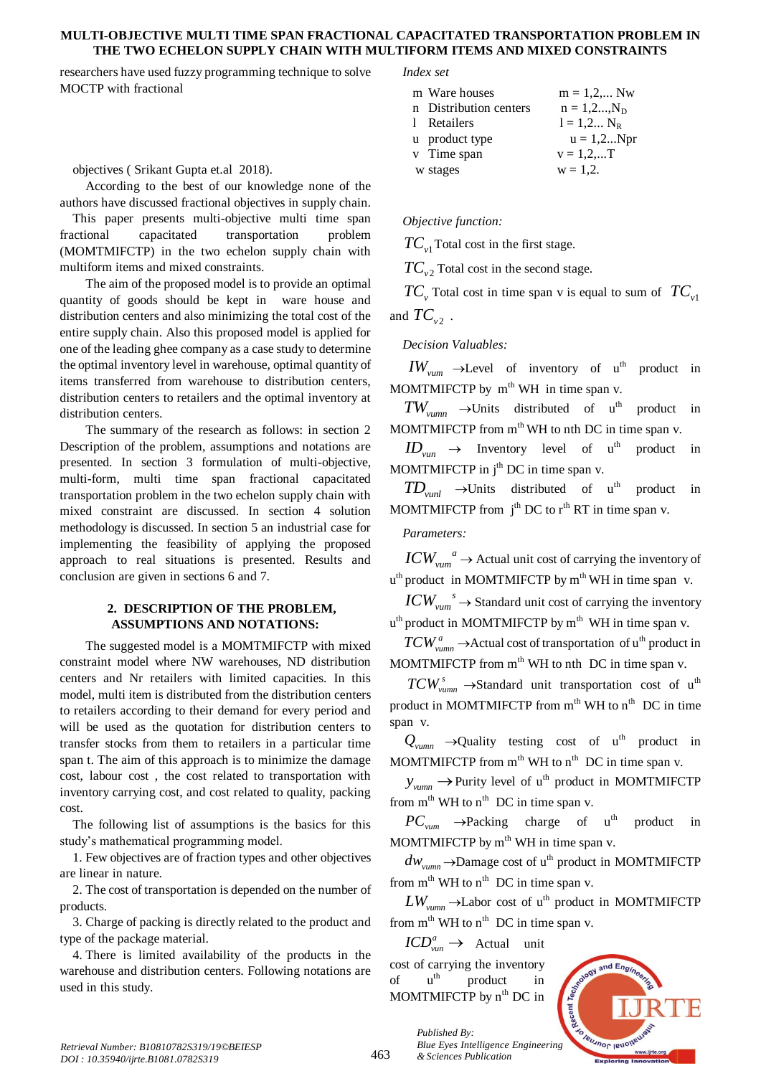# **MULTI-OBJECTIVE MULTI TIME SPAN FRACTIONAL CAPACITATED TRANSPORTATION PROBLEM IN THE TWO ECHELON SUPPLY CHAIN WITH MULTIFORM ITEMS AND MIXED CONSTRAINTS**

researchers have used fuzzy programming technique to solve MOCTP with fractional

objectives ( Srikant Gupta et.al 2018).

According to the best of our knowledge none of the authors have discussed fractional objectives in supply chain.

This paper presents multi-objective multi time span fractional capacitated transportation problem (MOMTMIFCTP) in the two echelon supply chain with multiform items and mixed constraints.

The aim of the proposed model is to provide an optimal quantity of goods should be kept in ware house and distribution centers and also minimizing the total cost of the entire supply chain. Also this proposed model is applied for one of the leading ghee company as a case study to determine the optimal inventory level in warehouse, optimal quantity of items transferred from warehouse to distribution centers, distribution centers to retailers and the optimal inventory at distribution centers.

The summary of the research as follows: in section 2 Description of the problem, assumptions and notations are presented. In section 3 formulation of multi-objective, multi-form, multi time span fractional capacitated transportation problem in the two echelon supply chain with mixed constraint are discussed. In section 4 solution methodology is discussed. In section 5 an industrial case for implementing the feasibility of applying the proposed approach to real situations is presented. Results and conclusion are given in sections 6 and 7.

# **2. DESCRIPTION OF THE PROBLEM, ASSUMPTIONS AND NOTATIONS:**

The suggested model is a MOMTMIFCTP with mixed constraint model where NW warehouses, ND distribution centers and Nr retailers with limited capacities. In this model, multi item is distributed from the distribution centers to retailers according to their demand for every period and will be used as the quotation for distribution centers to transfer stocks from them to retailers in a particular time span t. The aim of this approach is to minimize the damage cost, labour cost , the cost related to transportation with inventory carrying cost, and cost related to quality, packing cost.

The following list of assumptions is the basics for this study's mathematical programming model.

1. Few objectives are of fraction types and other objectives are linear in nature.

2. The cost of transportation is depended on the number of products.

3. Charge of packing is directly related to the product and type of the package material.

4. There is limited availability of the products in the warehouse and distribution centers. Following notations are used in this study.

#### *Index set*

| m Ware houses          | $m = 1, 2, $ Nw   |
|------------------------|-------------------|
| n Distribution centers | $n = 1, 2, , N_D$ |
| 1 Retailers            | $l = 1, 2 N_{R}$  |
| u product type         | $u = 1, 2Npr$     |
| v Time span            | $v = 1, 2,  T$    |
| w stages               | $w = 1.2$ .       |

## *Objective function:*

*TCv*<sup>1</sup> Total cost in the first stage.

*TCv*<sup>2</sup> Total cost in the second stage.

 $TC_v$  Total cost in time span v is equal to sum of  $TC_{v1}$ and  $TC_{v2}$ .

# *Decision Valuables:*

 $IW_{vum} \rightarrow$ Level of inventory of u<sup>th</sup> product in MOMTMIFCTP by  $m<sup>th</sup> WH$  in time span v.

 $TW_{vumm} \rightarrow$ Units distributed of u product in MOMTMIFCTP from  $m<sup>th</sup> WH$  to nth DC in time span v.

 $ID_{\text{van}} \rightarrow$  Inventory level of u product in MOMTMIFCTP in  $i<sup>th</sup>$  DC in time span v.

 $TD_{\text{vunl}} \rightarrow$ Units distributed of u<sup>th</sup> product in MOMTMIFCTP from  $j<sup>th</sup> DC$  to  $r<sup>th</sup> RT$  in time span v.

*Parameters:*

*a*  $\textit{ICW}_{\textit{vum}}^{a}$   $\rightarrow$  Actual unit cost of carrying the inventory of u<sup>th</sup> product in MOMTMIFCTP by m<sup>th</sup> WH in time span v.

*s*  $ICW_{\text{vum}}^s \to$  Standard unit cost of carrying the inventory u<sup>th</sup> product in MOMTMIFCTP by m<sup>th</sup> WH in time span v.

 $TCW^a_{vumm} \rightarrow$  Actual cost of transportation of u<sup>th</sup> product in MOMTMIFCTP from  $m<sup>th</sup>$  WH to nth DC in time span v.

 $TCW^s_{vumm} \rightarrow$ Standard unit transportation cost of u<sup>th</sup> product in MOMTMIFCTP from  $m<sup>th</sup>$  WH to  $n<sup>th</sup>$  DC in time span v.

 $Q_{vumm} \rightarrow$ Quality testing cost of u<sup>th</sup> product in MOMTMIFCTP from  $m<sup>th</sup>$  WH to  $n<sup>th</sup>$  DC in time span v.

 $y_{vumm} \rightarrow$  Purity level of u<sup>th</sup> product in MOMTMIFCTP from  $m<sup>th</sup> WH$  to  $n<sup>th</sup> DC$  in time span v.

 $PC_{vum} \rightarrow$ Packing charge of u<sup>th</sup> product in MOMTMIFCTP by  $m<sup>th</sup>$  WH in time span v.

 $dw_{vumm} \rightarrow$ Damage cost of u<sup>th</sup> product in MOMTMIFCTP from  $m<sup>th</sup> WH$  to  $n<sup>th</sup> DC$  in time span v.

 $LW_{vumm} \rightarrow$ Labor cost of u<sup>th</sup> product in MOMTMIFCTP from  $m<sup>th</sup> WH$  to  $n<sup>th</sup> DC$  in time span v.

*a*  $\textit{ICD}_{\textit{van}}^a \rightarrow \textit{Actual}$  unit cost of carrying the inventory of uth product in MOMTMIFCTP by  $n<sup>th</sup>$  DC in

*& Sciences Publication* 

*Published By:*

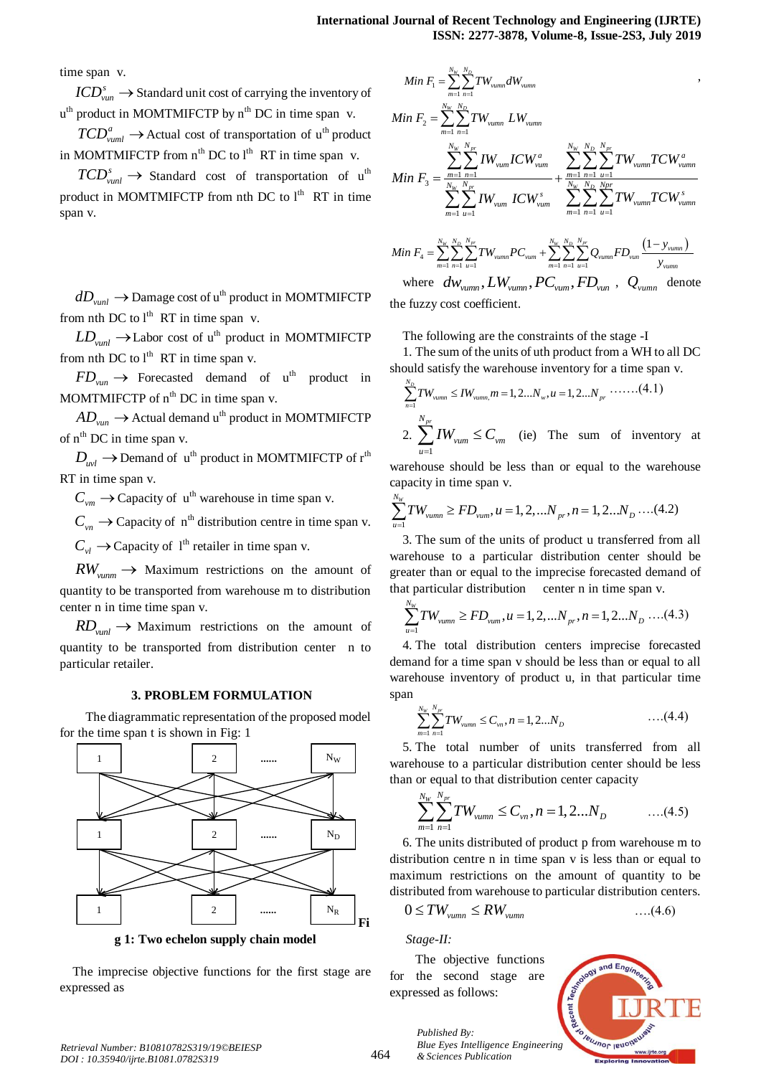time span v.

*s*  $\mathit{ICD}_{\mathit{van}}^s \to$  Standard unit cost of carrying the inventory of  $u<sup>th</sup>$  product in MOMTMIFCTP by  $n<sup>th</sup>$  DC in time span v.

 $TCD_{vuml}^a \rightarrow$  Actual cost of transportation of u<sup>th</sup> product in MOMTMIFCTP from  $n^{th}$  DC to  $l^{th}$  RT in time span v.

 $TCD_{vunl}^{s} \rightarrow$  Standard cost of transportation of u<sup>th</sup> product in MOMTMIFCTP from nth DC to  $l<sup>th</sup>$  RT in time span v.

 $dD_{\textit{vunl}} \rightarrow$  Damage cost of u<sup>th</sup> product in MOMTMIFCTP from nth DC to  $l<sup>th</sup> RT$  in time span v.

 $LD_{\text{vunl}} \rightarrow$  Labor cost of u<sup>th</sup> product in MOMTMIFCTP from nth DC to  $l^{\text{th}}$  RT in time span v.

 $FD_{van} \rightarrow$  Forecasted demand of u<sup>th</sup> product in MOMTMIFCTP of  $n<sup>th</sup>$  DC in time span v.

 $AD_{van} \rightarrow$  Actual demand u<sup>th</sup> product in MOMTMIFCTP of n<sup>th</sup> DC in time span v.

 $D_{uvl} \rightarrow$  Demand of u<sup>th</sup> product in MOMTMIFCTP of  $r<sup>th</sup>$ RT in time span v.

 $C_{vm} \rightarrow$  Capacity of u<sup>th</sup> warehouse in time span v.

 $C_{vn} \rightarrow$  Capacity of n<sup>th</sup> distribution centre in time span v.

 $C_{vl} \rightarrow$  Capacity of 1<sup>th</sup> retailer in time span v.

 $RW_{vumm} \rightarrow$  Maximum restrictions on the amount of quantity to be transported from warehouse m to distribution center n in time time span v.

 $RD$ <sub>*vunl*</sub>  $\rightarrow$  Maximum restrictions on the amount of quantity to be transported from distribution center n to particular retailer.

#### **3. PROBLEM FORMULATION**

The diagrammatic representation of the proposed model for the time span t is shown in Fig: 1



The imprecise objective functions for the first stage are expressed as

$$
Min F_{1} = \sum_{m=1}^{N_{w}} \sum_{n=1}^{N_{D}} TW_{vumm} dW_{vumm}
$$
\n
$$
Min F_{2} = \sum_{m=1}^{N_{w}} \sum_{n=1}^{N_{D}} TW_{vumm} LW_{vumm}
$$
\n
$$
Min F_{3} = \sum_{m=1}^{N_{w}} \sum_{n=1}^{N_{Dr}} TW_{vum} ICW_{vum}
$$
\n
$$
Min F_{4} = \sum_{m=1}^{N_{w}} \sum_{u=1}^{N_{pr}} TW_{vum} ICW_{vum}
$$
\n
$$
ICW_{vum} \sum_{m=1}^{N_{w}} \sum_{n=1}^{N_{Dr}} TW_{vumm}
$$
\n
$$
Min F_{4} = \sum_{m=1}^{N_{w}} \sum_{n=1}^{N_{D}} \sum_{n=1}^{N_{pr}} TW_{vumm} PC_{vum} + \sum_{m=1}^{N_{w}} \sum_{n=1}^{N_{D}} \sum_{u=1}^{N_{pr}} Q_{vumm} FD_{vum} \frac{(1 - y_{vumm})}{y_{vumm}}
$$

where  $dw_{vumm}$ ,  $LW_{vumm}$ ,  $PC_{vum}$ ,  $FD_{vun}$ ,  $Q_{vumm}$  denote the fuzzy cost coefficient.

The following are the constraints of the stage -I

1. The sum of the units of uth product from a WH to all DC

should satisfy the warehouse inventory for a time span v.  
\n
$$
\sum_{n=1}^{N_D} TW_{vamm} \leq IW_{vumm} \cdot m = 1, 2...N_w, u = 1, 2...N_p \cdot \dots \cdot (4.1)
$$
\n2. 
$$
\sum_{u=1}^{N_{pr}} IW_{vum} \leq C_{vm}
$$
 (ie) The sum of inventory at

warehouse should be less than or equal to the warehouse capacity in time span v.

capacity in time span v.  
\n
$$
\sum_{u=1}^{N_W} TW_{vumm} \ge FD_{vum}, u = 1, 2, ...N_p, n = 1, 2...N_p \dots (4.2)
$$

3. The sum of the units of product u transferred from all warehouse to a particular distribution center should be greater than or equal to the imprecise forecasted demand of

that particular distribution center n in time span v.  
\n
$$
\sum_{u=1}^{N_W} TW_{vumm} \ge FD_{vum}, u = 1, 2, \dots N_{pr}, n = 1, 2 \dots N_D \dots (4.3)
$$

4. The total distribution centers imprecise forecasted demand for a time span v should be less than or equal to all warehouse inventory of product u, in that particular time span

$$
\sum_{m=1}^{N_W} \sum_{n=1}^{N_{pr}} TW_{vumm} \leq C_{vn}, n = 1, 2...N_D \qquad \qquad \dots (4.4)
$$

5. The total number of units transferred from all warehouse to a particular distribution center should be less

than or equal to that distribution center capacity  
\n
$$
\sum_{m=1}^{N_w} \sum_{n=1}^{N_{pr}} TW_{vumm} \leq C_{vn}, n = 1, 2...N_D
$$
\n...(4.5)

6. The units distributed of product p from warehouse m to distribution centre n in time span v is less than or equal to maximum restrictions on the amount of quantity to be distributed from warehouse to particular distribution centers.

$$
0 \le TW_{vumm} \le RW_{vumm} \qquad \qquad \dots (4.6)
$$

*Stage-II:* 

*Published By:*

*& Sciences Publication* 

The objective functions for the second stage are expressed as follows:

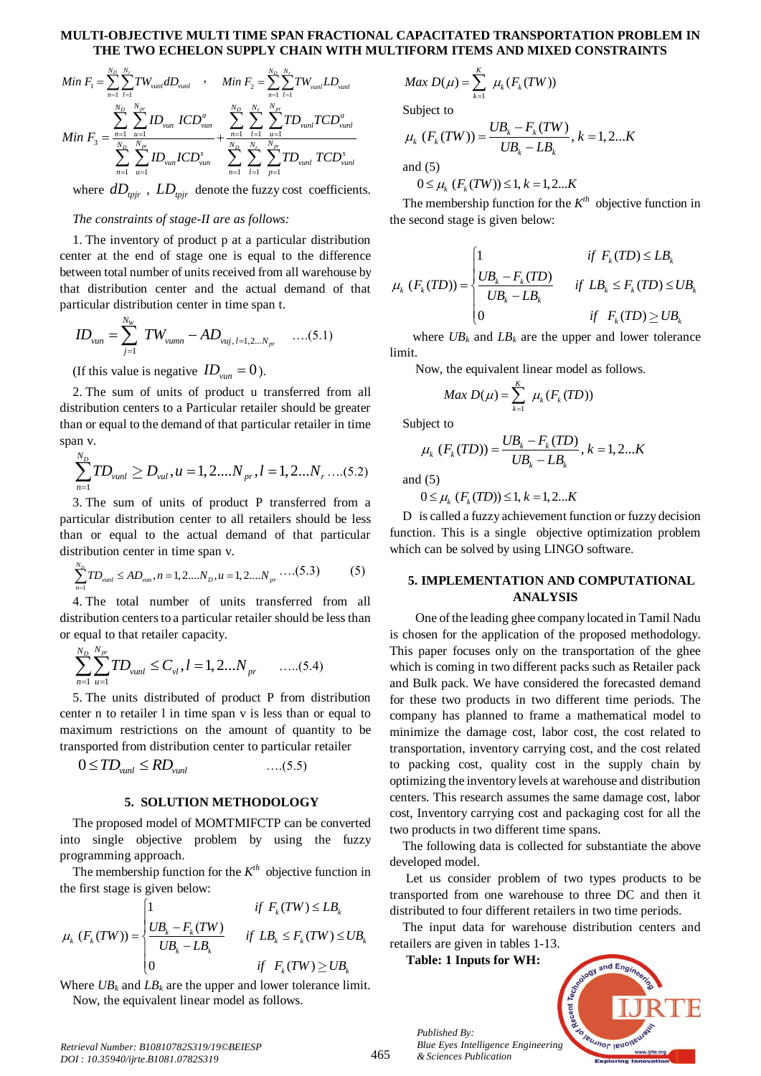#### **MULTI-OBJECTIVE MULTI TIME SPAN FRACTIONAL CAPACITATED TRANSPORTATION PROBLEM IN THE TWO ECHELON SUPPLY CHAIN WITH MULTIFORM ITEMS AND MIXED CONSTRAINTS**

$$
Min F_{1} = \sum_{n=1}^{N_{D}} \sum_{l=1}^{N_{r}} TW_{vunl} dD_{vunl} \qquad , \qquad Min F_{2} = \sum_{n=1}^{N_{D}} \sum_{l=1}^{N_{r}} TW_{vunl} LD_{vunl}
$$
\n
$$
Min F_{3} = \sum_{n=1}^{N_{D}} \sum_{u=1}^{N_{pr}} ID_{vunl} ICD_{vunl}^{a} + \sum_{n=1}^{N_{D}} \sum_{l=1}^{N_{r}} \sum_{u=1}^{N_{pr}} TD_{vunl} TCD_{vunl}^{a}
$$
\n
$$
\sum_{n=1}^{N_{D}} \sum_{u=1}^{N_{pr}} ID_{vunl} ICD_{vunl}^{s} + \sum_{n=1}^{N_{D}} \sum_{l=1}^{N_{r}} \sum_{p=1}^{N_{pr}} TD_{vunl} TCD_{vunl}^{s}
$$

where  $dD_{\text{tpir}}$ ,  $LD_{\text{tpir}}$  denote the fuzzy cost coefficients.

# *The constraints of stage-II are as follows:*

1. The inventory of product p at a particular distribution center at the end of stage one is equal to the difference between total number of units received from all warehouse by that distribution center and the actual demand of that particular distribution center in time span t.

$$
ID_{\text{van}} = \sum_{j=1}^{N_{\text{W}}} TW_{\text{vumm}} - AD_{\text{vuj}, l=1,2...N_{\text{pr}}} \quad \dots (5.1)
$$

(If this value is negative  $ID_{van} = 0$ ).

2. The sum of units of product u transferred from all distribution centers to a Particular retailer should be greater than or equal to the demand of that particular retailer in time span v.

$$
\sum_{n=1}^{N_D} T D_{\text{vunl}} \ge D_{\text{vul}}, u = 1, 2, \dots N_{\text{pr}}, l = 1, 2, \dots N_{\text{r}} \dots (5.2)
$$

3. The sum of units of product P transferred from a particular distribution center to all retailers should be less than or equal to the actual demand of that particular

distribution center in time span v.  
\n
$$
\sum_{n=1}^{N_D} TD_{vunt} \le AD_{vun}, n = 1, 2....N_D, u = 1, 2....N_{pr} \dots (5.3)
$$
 (5)

4. The total number of units transferred from all distribution centers to a particular retailer should be less than

or equal to that retailer capacity.  
\n
$$
\sum_{n=1}^{N_D} \sum_{u=1}^{N_{pr}} TD_{vunl} \leq C_{vl}, l = 1, 2...N_{pr} \qquad \dots (5.4)
$$

5. The units distributed of product P from distribution center n to retailer l in time span v is less than or equal to maximum restrictions on the amount of quantity to be transported from distribution center to particular retailer

$$
0 \leq TD_{\text{vunl}} \leq RD_{\text{vunl}} \qquad \qquad \dots (5.5)
$$

#### **5. SOLUTION METHODOLOGY**

The proposed model of MOMTMIFCTP can be converted into single objective problem by using the fuzzy programming approach.

The membership function for the  $K^{th}$  objective function in<br>  $\vdots$  first stage is given below:<br>  $\begin{cases} 1 & \text{if } F_k(TW) \leq LB_k \end{cases}$ the first stage is given below:

$$
\mu_k (F_k(TW)) = \begin{cases}\n1 & \text{if } F_k(TW) \le L B_k \\
\frac{UB_k - F_k(TW)}{UB_k - LB_k} & \text{if } LB_k \le F_k(TW) \le UB_k \\
0 & \text{if } F_k(TW) \ge UB_k\n\end{cases}
$$

Where  $UB_k$  and  $LB_k$  are the upper and lower tolerance limit. Now, the equivalent linear model as follows.

$$
Max D(\mu) = \sum_{k=1}^{K} \mu_k(F_k(TW))
$$

Subject to

Subject to  
\n
$$
\mu_k (F_k(TW)) = \frac{UB_k - F_k(TW)}{UB_k - LB_k}, k = 1, 2...K
$$

and (5)

and (5)  
\n
$$
0 \le \mu_k \ (F_k(TW)) \le 1, k = 1, 2...K
$$

The membership function for the  $K^{th}$  objective function in the second stage is given below:

the second stage is given below:  
\n
$$
\mu_k (F_k(TD)) = \begin{cases}\n1 & \text{if } F_k(TD) \leq LB_k \\
\frac{UB_k - F_k(TD)}{UB_k - LB_k} & \text{if } LB_k \leq F_k(TD) \leq UB_k \\
0 & \text{if } F_k(TD) \geq UB_k\n\end{cases}
$$

where  $UB_k$  and  $LB_k$  are the upper and lower tolerance limit.

Now, the equivalent linear model as follows.

$$
Max D(\mu) = \sum_{k=1}^{K} \mu_k(F_k(TD))
$$

Subject to

eject to  
\n
$$
\mu_k (F_k(TD)) = \frac{UB_k - F_k(TD)}{UB_k - LB_k}, k = 1, 2...K
$$

and  $(5)$ 

 $0 \leq \mu_k$  ( $F_k(TD) \leq 1, k = 1,2...K$ 

D is called a fuzzy achievement function or fuzzy decision function. This is a single objective optimization problem which can be solved by using LINGO software.

# **5. IMPLEMENTATION AND COMPUTATIONAL ANALYSIS**

One of the leading ghee company located in Tamil Nadu is chosen for the application of the proposed methodology. This paper focuses only on the transportation of the ghee which is coming in two different packs such as Retailer pack and Bulk pack. We have considered the forecasted demand for these two products in two different time periods. The company has planned to frame a mathematical model to minimize the damage cost, labor cost, the cost related to transportation, inventory carrying cost, and the cost related to packing cost, quality cost in the supply chain by optimizing the inventory levels at warehouse and distribution centers. This research assumes the same damage cost, labor cost, Inventory carrying cost and packaging cost for all the two products in two different time spans.

The following data is collected for substantiate the above developed model.

Let us consider problem of two types products to be transported from one warehouse to three DC and then it distributed to four different retailers in two time periods.

The input data for warehouse distribution centers and retailers are given in tables 1-13.

**Table: 1 Inputs for WH:**

*Published By:*

*& Sciences Publication* 



*Retrieval Number: B10810782S319/19©BEIESP DOI : 10.35940/ijrte.B1081.0782S319*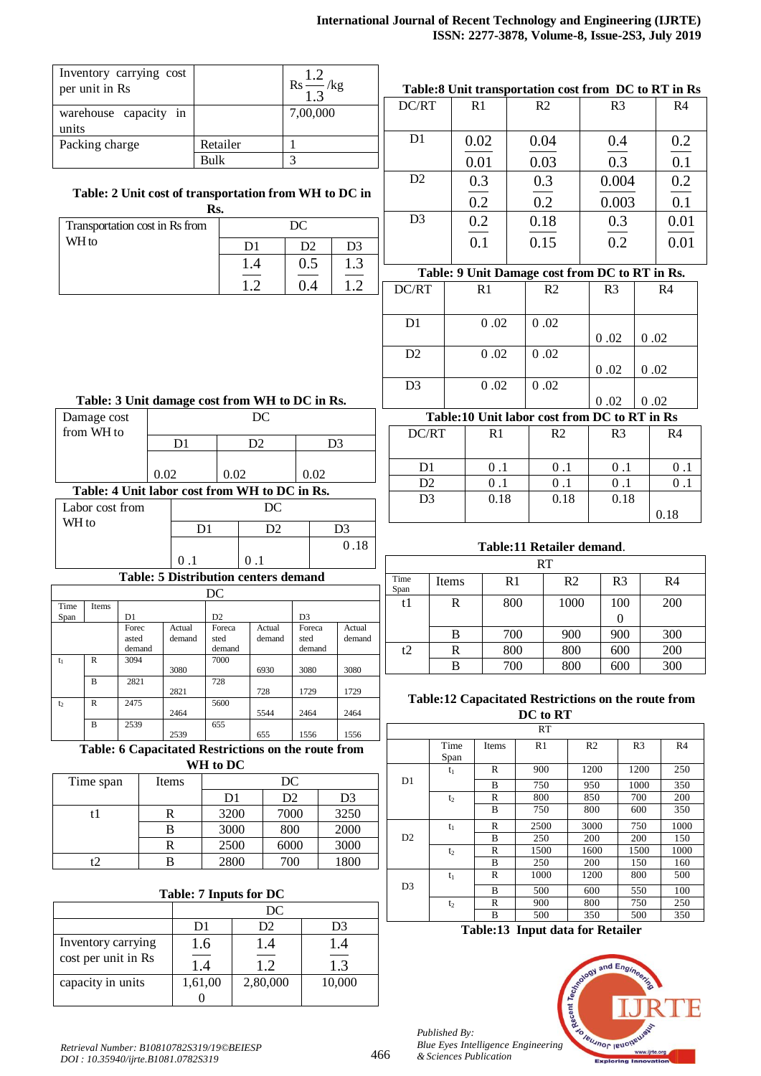|                | Inventory carrying cost<br>$\text{Rs} \frac{1.2}{1.2}$ /kg<br>per unit in Rs |                |      |                                |                |                                                       |                          |                |                |              | Table:8 Unit transportation cost from DC to RT in Rs |                |                           |                                                     |      |                |
|----------------|------------------------------------------------------------------------------|----------------|------|--------------------------------|----------------|-------------------------------------------------------|--------------------------|----------------|----------------|--------------|------------------------------------------------------|----------------|---------------------------|-----------------------------------------------------|------|----------------|
|                |                                                                              |                |      |                                |                |                                                       | 1.3                      |                | DC/RT          |              | R1                                                   | R <sub>2</sub> |                           | R <sub>3</sub>                                      |      | R4             |
|                | warehouse capacity in                                                        |                |      |                                |                |                                                       | 7,00,000                 |                |                |              |                                                      |                |                           |                                                     |      |                |
| units          | Packing charge                                                               |                |      |                                | Retailer       |                                                       | $\mathbf{1}$             |                | D <sub>1</sub> |              | 0.02                                                 | 0.04           |                           | 0.4                                                 |      | 0.2            |
|                |                                                                              |                |      |                                | <b>Bulk</b>    |                                                       | 3                        |                |                |              | 0.01                                                 | 0.03           |                           | 0.3                                                 |      | 0.1            |
|                |                                                                              |                |      |                                |                |                                                       |                          |                | D2             |              | 0.3                                                  | 0.3            |                           | 0.004                                               |      | 0.2            |
|                |                                                                              |                |      |                                |                | Table: 2 Unit cost of transportation from WH to DC in |                          |                |                |              | 0.2                                                  |                |                           |                                                     |      |                |
| Rs.            |                                                                              |                |      |                                |                | D <sub>3</sub>                                        |                          |                | 0.2            |              | 0.003<br>0.3                                         |                | 0.1                       |                                                     |      |                |
|                |                                                                              |                |      | Transportation cost in Rs from |                |                                                       | DC                       |                |                |              | 0.2                                                  | 0.18           |                           |                                                     |      | 0.01           |
| WH to          |                                                                              |                |      |                                |                | D <sub>1</sub>                                        | D2                       | D <sub>3</sub> |                |              | 0.1                                                  | 0.15           |                           | 0.2                                                 |      | 0.01           |
|                |                                                                              |                |      |                                |                | 1.4                                                   | 0.5                      | 1.3            |                |              |                                                      |                |                           | Table: 9 Unit Damage cost from DC to RT in Rs.      |      |                |
|                |                                                                              |                |      |                                |                | 1.2                                                   | 0.4                      | 1.2            | DC/RT          |              | R <sub>1</sub>                                       |                | R <sub>2</sub>            | R <sub>3</sub>                                      |      | R <sub>4</sub> |
|                |                                                                              |                |      |                                |                |                                                       |                          |                |                |              |                                                      |                |                           |                                                     |      |                |
|                |                                                                              |                |      |                                |                |                                                       |                          |                | D <sub>1</sub> |              | 0.02                                                 | 0.02           |                           |                                                     |      |                |
|                |                                                                              |                |      |                                |                |                                                       |                          |                |                |              |                                                      |                |                           | 0.02                                                | 0.02 |                |
|                |                                                                              |                |      |                                |                |                                                       |                          |                | D2             |              | 0.02                                                 | 0.02           |                           |                                                     |      |                |
|                |                                                                              |                |      |                                |                |                                                       |                          |                | D <sub>3</sub> |              | 0.02                                                 | 0.02           |                           | 0.02                                                | 0.02 |                |
|                |                                                                              |                |      |                                |                | Table: 3 Unit damage cost from WH to DC in Rs.        |                          |                |                |              |                                                      |                |                           | 0.02                                                | 0.02 |                |
|                | Damage cost                                                                  |                |      |                                |                | DC                                                    |                          |                |                |              |                                                      |                |                           | Table:10 Unit labor cost from DC to RT in Rs        |      |                |
|                | from WH to                                                                   |                |      | D <sub>1</sub>                 |                | D <sub>2</sub><br>D <sub>3</sub>                      |                          |                | DC/RT          |              | R <sub>1</sub>                                       |                | R <sub>2</sub>            | R <sub>3</sub>                                      |      | R <sub>4</sub> |
|                |                                                                              |                |      |                                |                |                                                       |                          |                |                |              |                                                      |                |                           |                                                     |      |                |
|                |                                                                              |                | 0.02 |                                | 0.02           |                                                       | 0.02                     |                | D <sub>1</sub> |              | 0.1                                                  |                | 0.1                       | 0.1                                                 |      | $0.1\,$        |
|                |                                                                              |                |      |                                |                | Table: 4 Unit labor cost from WH to DC in Rs.         |                          |                | D2             |              | 0.1                                                  |                | 0.1                       | 0.1                                                 |      | 0.1            |
|                | Labor cost from                                                              |                |      |                                |                | DC                                                    |                          |                | D <sub>3</sub> |              | 0.18                                                 |                | 0.18                      | 0.18                                                |      | 0.18           |
| WH to          |                                                                              |                |      | D <sub>1</sub>                 |                | D2                                                    |                          | D <sub>3</sub> |                |              |                                                      |                |                           |                                                     |      |                |
|                |                                                                              |                |      |                                |                |                                                       |                          | 0.18           |                |              |                                                      |                | Table:11 Retailer demand. |                                                     |      |                |
|                |                                                                              |                |      | 0.1                            |                | 0.1                                                   |                          |                |                |              |                                                      | <b>RT</b>      |                           |                                                     |      |                |
|                |                                                                              |                |      |                                |                | <b>Table: 5 Distribution centers demand</b>           |                          |                | Time<br>Span   | Items        |                                                      | R1             | R <sub>2</sub>            | R <sub>3</sub>                                      |      | R <sub>4</sub> |
| Time           | Items                                                                        |                |      |                                | DC             |                                                       |                          |                | t1             | $\mathbb{R}$ |                                                      | 800            | 1000                      | 100                                                 |      | 200            |
| Span           |                                                                              | D1<br>Forec    |      | Actual                         | D2<br>Foreca   | Actual                                                | D <sub>3</sub><br>Foreca | Actual         |                |              |                                                      |                |                           | $\boldsymbol{0}$                                    |      |                |
|                |                                                                              | asted          |      | demand                         | sted           | demand                                                | sted                     | demand         |                | B            |                                                      | 700            | 900                       | 900                                                 |      | 300            |
| $t_1$          | $\mathbb{R}$                                                                 | demand<br>3094 |      |                                | demand<br>7000 |                                                       | demand                   |                | t2             | $\mathbf R$  |                                                      | 800            | 800                       | 600                                                 |      | 200            |
|                | $\, {\bf B}$                                                                 | 2821           |      | 3080                           | 728            | 6930                                                  | 3080                     | 3080           |                | B            |                                                      | 700            | 800                       | 600                                                 |      | 300            |
|                |                                                                              |                |      | 2821                           |                | 728                                                   | 1729                     | 1729           |                |              |                                                      |                |                           | Table:12 Capacitated Restrictions on the route from |      |                |
| t <sub>2</sub> | ${\bf R}$                                                                    | 2475           |      | 2464                           | 5600           | 5544                                                  | 2464                     | 2464           |                |              |                                                      | DC to RT       |                           |                                                     |      |                |
|                | $\, {\bf B}$                                                                 | 2539           |      | 2520                           | 655            | 655                                                   | 1556                     | 1556           |                |              |                                                      | <b>RT</b>      |                           |                                                     |      |                |

2539 655 1556 1556 **Table: 6 Capacitated Restrictions on the route from WH to DC**

| Time span | Items | DC   |      |                |  |  |
|-----------|-------|------|------|----------------|--|--|
|           |       | D1   | D2   | D <sub>3</sub> |  |  |
|           |       | 3200 | 7000 | 3250           |  |  |
|           | В     | 3000 | 800  | 2000           |  |  |
|           | R     | 2500 | 6000 | 3000           |  |  |
|           |       | 2800 | 700  | 1800           |  |  |

# **Table: 7 Inputs for DC**

|                                           | DC      |          |        |  |  |  |
|-------------------------------------------|---------|----------|--------|--|--|--|
|                                           | D1      | D2       | D3     |  |  |  |
| Inventory carrying<br>cost per unit in Rs | 1.6     | l.4      | 1.4    |  |  |  |
|                                           | $\perp$ | 12       | 1.3    |  |  |  |
| capacity in units                         | 1,61,00 | 2,80,000 | 10,000 |  |  |  |
|                                           |         |          |        |  |  |  |

# **Table:13 Input data for Retailer**

Items R1 R2 R3 R4

B 750 950 1000 350<br>R 800 850 700 200  $t_2$  R 800 850 700 200 B 750 800 600 350

B 250 200 150 160<br>R 1000 1200 800 500

B 500 600 550 100  $t_2$  R 900 800 750 250 B 500 350 500 350

 $t_1$  R 900 1200 1200 250

t<sub>1</sub> R 2500 3000 750 1000<br>B 250 200 200 150 B 250 200 200 150<br>R 1500 1600 1500 1000  $t_2$  R 1500 1600 1500 1000

 $t_1$  R 1000 1200 800 500



Time Span

D1

D2

D3

466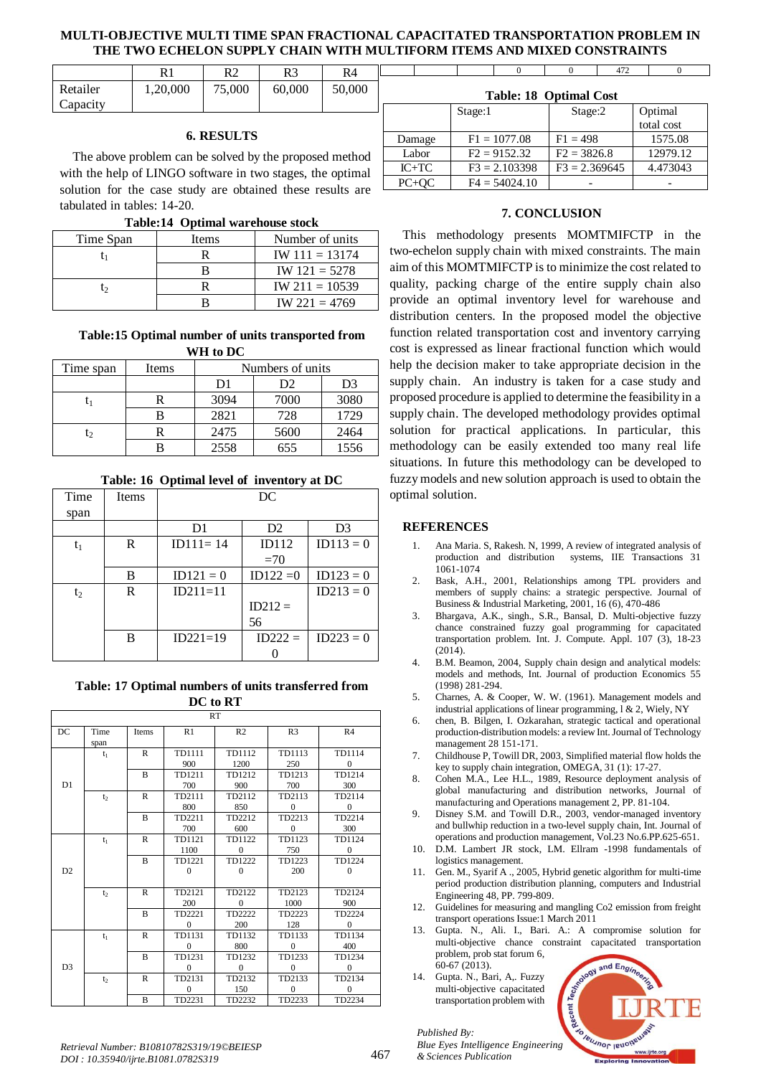# **MULTI-OBJECTIVE MULTI TIME SPAN FRACTIONAL CAPACITATED TRANSPORTATION PROBLEM IN THE TWO ECHELON SUPPLY CHAIN WITH MULTIFORM ITEMS AND MIXED CONSTRAINTS**

|          |          | R2     | R3     | R4     |
|----------|----------|--------|--------|--------|
| Retailer | 1,20,000 | 75,000 | 60,000 | 50,000 |
| Capacity |          |        |        |        |

# **6. RESULTS**

The above problem can be solved by the proposed method with the help of LINGO software in two stages, the optimal solution for the case study are obtained these results are tabulated in tables: 14-20.

|  |  | Table:14 Optimal warehouse stock |  |
|--|--|----------------------------------|--|
|--|--|----------------------------------|--|

| Time Span | Items | Number of units  |
|-----------|-------|------------------|
|           |       | $IW 111 = 13174$ |
|           |       | $IW 121 = 5278$  |
| l٥        |       | $IW 211 = 10539$ |
|           |       | $IW 221 = 4769$  |

### **Table:15 Optimal number of units transported from WH to DC**

| Time span      | Items | Numbers of units |      |      |  |  |
|----------------|-------|------------------|------|------|--|--|
|                |       | D1               | D2   | D3   |  |  |
| l1             |       | 3094             | 7000 | 3080 |  |  |
|                |       | 2821             | 728  | 1729 |  |  |
| $\mathsf{t}_2$ |       | 2475             | 5600 | 2464 |  |  |
|                |       | 2558             | 655  | 1556 |  |  |

**Table: 16 Optimal level of inventory at DC**

| Time  | Items | DC           |                |                |  |  |  |  |
|-------|-------|--------------|----------------|----------------|--|--|--|--|
| span  |       |              |                |                |  |  |  |  |
|       |       | D1           | D <sub>2</sub> | D <sub>3</sub> |  |  |  |  |
| t1    | R     | $ID111 = 14$ | ID112          | $ID113 = 0$    |  |  |  |  |
|       |       |              | $=70$          |                |  |  |  |  |
|       | B     | $ID121 = 0$  | $ID122 = 0$    | $ID123 = 0$    |  |  |  |  |
| $t_2$ | R     | $ID211=11$   |                | $ID213 = 0$    |  |  |  |  |
|       |       |              | $ID212 =$      |                |  |  |  |  |
|       |       |              | 56             |                |  |  |  |  |
|       | B     | $ID221=19$   | $ID222 =$      | $ID223 = 0$    |  |  |  |  |
|       |       |              |                |                |  |  |  |  |

**Table: 17 Optimal numbers of units transferred from DC to RT**

| RT             |                |                |              |                |                |                |  |  |  |
|----------------|----------------|----------------|--------------|----------------|----------------|----------------|--|--|--|
|                |                |                |              |                |                |                |  |  |  |
| DC             | Time           | Items          | R1           | R <sub>2</sub> | R <sub>3</sub> | R <sub>4</sub> |  |  |  |
|                | span           |                |              |                |                |                |  |  |  |
|                | $t_1$          | $\mathbb{R}$   | TD1111       | TD1112         | TD1113         | TD1114         |  |  |  |
|                |                |                | 900          | 1200           | 250            | $\Omega$       |  |  |  |
|                |                | $\bf{B}$       | TD1211       | TD1212         | TD1213         | TD1214         |  |  |  |
| D1             |                |                | 700          | 900            | 700            | 300            |  |  |  |
|                | t <sub>2</sub> | $\mathbb{R}$   | TD2111       | TD2112         | TD2113         | TD2114         |  |  |  |
|                |                |                | 800          | 850            | $\Omega$       | $\Omega$       |  |  |  |
|                |                | B              | TD2211       | TD2212         | TD2213         | TD2214         |  |  |  |
|                |                |                | 700          | 600            | $\mathbf{0}$   | 300            |  |  |  |
|                | $t_1$          | $\mathsf{R}$   | TD1121       | TD1122         | TD1123         | TD1124         |  |  |  |
|                |                |                | 1100         | $\Omega$       | 750            | $\Omega$       |  |  |  |
|                |                | B              | TD1221       | TD1222         | TD1223         | TD1224         |  |  |  |
| D2             |                |                | $\Omega$     | $\Omega$       | 200            | $\Omega$       |  |  |  |
|                |                |                |              |                |                |                |  |  |  |
|                | t <sub>2</sub> | $\mathbb{R}$   | TD2121       | TD2122         | TD2123         | TD2124         |  |  |  |
|                |                |                | 200          | $\Omega$       | 1000           | 900            |  |  |  |
|                |                | $\overline{B}$ | TD2221       | TD2222         | TD2223         | TD2224         |  |  |  |
|                |                |                | $\mathbf{0}$ | 200            | 128            | $\mathbf{0}$   |  |  |  |
|                | $t_1$          | R              | TD1131       | TD1132         | TD1133         | TD1134         |  |  |  |
|                |                |                | $\Omega$     | 800            | $\mathbf{0}$   | 400            |  |  |  |
|                |                | B              | TD1231       | TD1232         | TD1233         | TD1234         |  |  |  |
| D <sub>3</sub> |                |                | $\Omega$     | $\mathbf{0}$   | $\Omega$       | $\Omega$       |  |  |  |
|                | t <sub>2</sub> | $\mathbb{R}$   | TD2131       | TD2132         | TD2133         | TD2134         |  |  |  |
|                |                |                | $\mathbf{0}$ | 150            | $\Omega$       | $\Omega$       |  |  |  |
|                |                | $\overline{B}$ | TD2231       | TD2232         | TD2233         | TD2234         |  |  |  |

|                        |         | $\Omega$        | 0               | 472 |            |  |  |  |
|------------------------|---------|-----------------|-----------------|-----|------------|--|--|--|
| Table: 18 Optimal Cost |         |                 |                 |     |            |  |  |  |
|                        | Stage:1 |                 | Stage:2         |     | Optimal    |  |  |  |
|                        |         |                 |                 |     | total cost |  |  |  |
| Damage                 |         | $F1 = 1077.08$  | $F1 = 498$      |     | 1575.08    |  |  |  |
| Labor                  |         | $F2 = 9152.32$  | $F2 = 3826.8$   |     | 12979.12   |  |  |  |
| $IC+TC$                |         | $F3 = 2.103398$ | $F3 = 2.369645$ |     | 4.473043   |  |  |  |
| $PC+OC$                |         | $F4 = 54024.10$ |                 |     |            |  |  |  |
|                        |         |                 |                 |     |            |  |  |  |

# **7. CONCLUSION**

This methodology presents MOMTMIFCTP in the two-echelon supply chain with mixed constraints. The main aim of this MOMTMIFCTP is to minimize the cost related to quality, packing charge of the entire supply chain also provide an optimal inventory level for warehouse and distribution centers. In the proposed model the objective function related transportation cost and inventory carrying cost is expressed as linear fractional function which would help the decision maker to take appropriate decision in the supply chain. An industry is taken for a case study and proposed procedure is applied to determine the feasibility in a supply chain. The developed methodology provides optimal solution for practical applications. In particular, this methodology can be easily extended too many real life situations. In future this methodology can be developed to fuzzy models and new solution approach is used to obtain the optimal solution.

### **REFERENCES**

- 1. Ana Maria. S, Rakesh. N, 1999, A review of integrated analysis of production and distribution systems, IIE Transactions 31 1061-1074
- 2. Bask, A.H., 2001, Relationships among TPL providers and members of supply chains: a strategic perspective. Journal of Business & Industrial Marketing, 2001, 16 (6), 470-486
- 3. Bhargava, A.K., singh., S.R., Bansal, D. Multi-objective fuzzy chance constrained fuzzy goal programming for capacitated transportation problem. Int. J. Compute. Appl. 107 (3), 18-23  $(2014)$ .
- 4. B.M. Beamon, 2004, Supply chain design and analytical models: models and methods, Int. Journal of production Economics 55 (1998) 281-294.
- 5. Charnes, A. & Cooper, W. W. (1961). Management models and industrial applications of linear programming, l & 2, Wiely, NY
- 6. chen, B. Bilgen, I. Ozkarahan, strategic tactical and operational production-distribution models: a review Int. Journal of Technology management 28 151-171.
- 7. Childhouse P, Towill DR, 2003, Simplified material flow holds the key to supply chain integration, OMEGA, 31 (1): 17-27.
- 8. Cohen M.A., Lee H.L., 1989, Resource deployment analysis of global manufacturing and distribution networks, Journal of manufacturing and Operations management 2, PP. 81-104.
- Disney S.M. and Towill D.R., 2003, vendor-managed inventory and bullwhip reduction in a two-level supply chain, Int. Journal of operations and production management, Vol.23 No.6.PP.625-651.
- 10. D.M. Lambert JR stock, LM. Ellram -1998 fundamentals of logistics management.
- 11. Gen. M., Syarif A ., 2005, Hybrid genetic algorithm for multi-time period production distribution planning, computers and Industrial Engineering 48, PP. 799-809.
- 12. Guidelines for measuring and mangling Co2 emission from freight transport operations Issue:1 March 2011
- 13. Gupta. N., Ali. I., Bari. A.: A compromise solution for multi-objective chance constraint capacitated transportation problem, prob stat forum 6,  $60-67(2013)$ .
- 14. Gupta. N., Bari, A,. Fuzzy multi-objective capacitated transportation problem with

*Published By:*

*& Sciences Publication* 



*Retrieval Number: B10810782S319/19©BEIESP DOI : 10.35940/ijrte.B1081.0782S319*